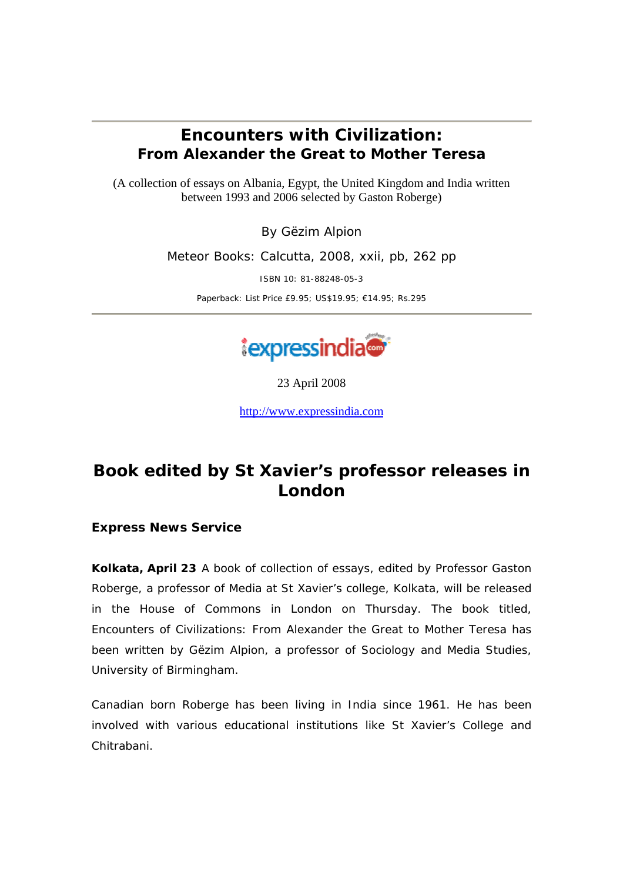## *Encounters with Civilization: From Alexander the Great to Mother Teresa*

(A collection of essays on Albania, Egypt, the United Kingdom and India written between 1993 and 2006 selected by Gaston Roberge)

By Gëzim Alpion

Meteor Books: Calcutta, 2008, xxii, pb, 262 pp

ISBN 10: 81-88248-05-3

Paperback: List Price £9.95; US\$19.95; €14.95; Rs.295



23 April 2008

http://www.expressindia.com

## **Book edited by St Xavier's professor releases in London**

**Express News Service**

**Kolkata, April 23** A book of collection of essays, edited by Professor Gaston Roberge, a professor of Media at St Xavier's college, Kolkata, will be released in the House of Commons in London on Thursday. The book titled, *Encounters of Civilizations: From Alexander the Great to Mother Teresa* has been written by Gëzim Alpion, a professor of Sociology and Media Studies, University of Birmingham.

Canadian born Roberge has been living in India since 1961. He has been involved with various educational institutions like St Xavier's College and Chitrabani.